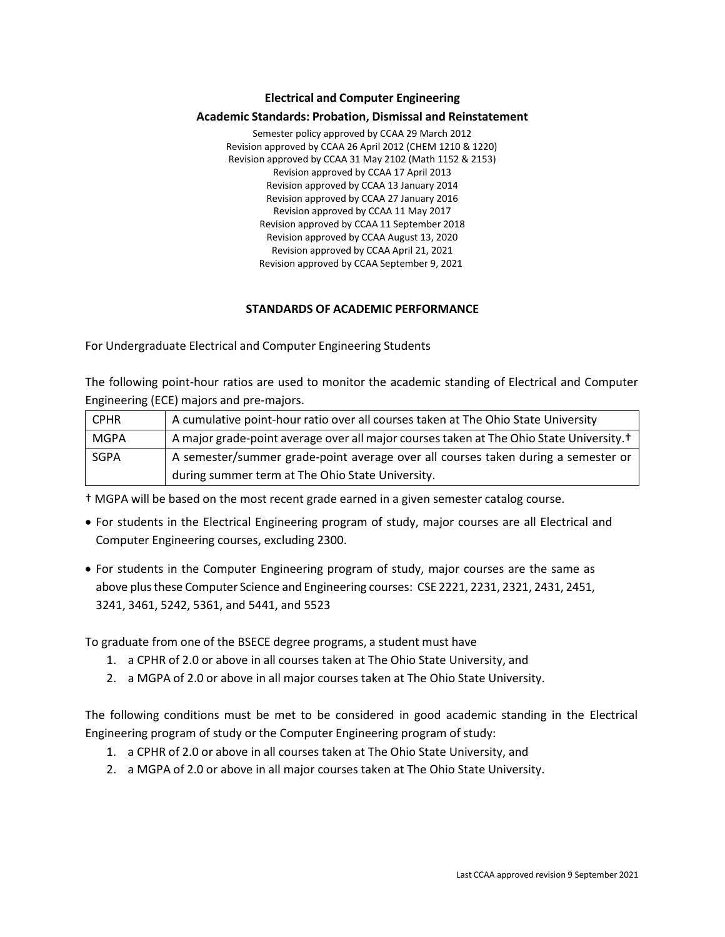### **Electrical and Computer Engineering**

#### **Academic Standards: Probation, Dismissal and Reinstatement**

Semester policy approved by CCAA 29 March 2012 Revision approved by CCAA 26 April 2012 (CHEM 1210 & 1220) Revision approved by CCAA 31 May 2102 (Math 1152 & 2153) Revision approved by CCAA 17 April 2013 Revision approved by CCAA 13 January 2014 Revision approved by CCAA 27 January 2016 Revision approved by CCAA 11 May 2017 Revision approved by CCAA 11 September 2018 Revision approved by CCAA August 13, 2020 Revision approved by CCAA April 21, 2021 Revision approved by CCAA September 9, 2021

### **STANDARDS OF ACADEMIC PERFORMANCE**

For Undergraduate Electrical and Computer Engineering Students

The following point-hour ratios are used to monitor the academic standing of Electrical and Computer Engineering (ECE) majors and pre-majors.

| <b>CPHR</b> | A cumulative point-hour ratio over all courses taken at The Ohio State University                   |
|-------------|-----------------------------------------------------------------------------------------------------|
| <b>MGPA</b> | A major grade-point average over all major courses taken at The Ohio State University. <sup>†</sup> |
| SGPA        | A semester/summer grade-point average over all courses taken during a semester or                   |
|             | during summer term at The Ohio State University.                                                    |

† MGPA will be based on the most recent grade earned in a given semester catalog course.

- For students in the Electrical Engineering program of study, major courses are all Electrical and Computer Engineering courses, excluding 2300.
- For students in the Computer Engineering program of study, major courses are the same as above plusthese Computer Science and Engineering courses: CSE 2221, 2231, 2321, 2431, 2451, 3241, 3461, 5242, 5361, and 5441, and 5523

To graduate from one of the BSECE degree programs, a student must have

- 1. a CPHR of 2.0 or above in all courses taken at The Ohio State University, and
- 2. a MGPA of 2.0 or above in all major courses taken at The Ohio State University.

The following conditions must be met to be considered in good academic standing in the Electrical Engineering program of study or the Computer Engineering program of study:

- 1. a CPHR of 2.0 or above in all courses taken at The Ohio State University, and
- 2. a MGPA of 2.0 or above in all major courses taken at The Ohio State University.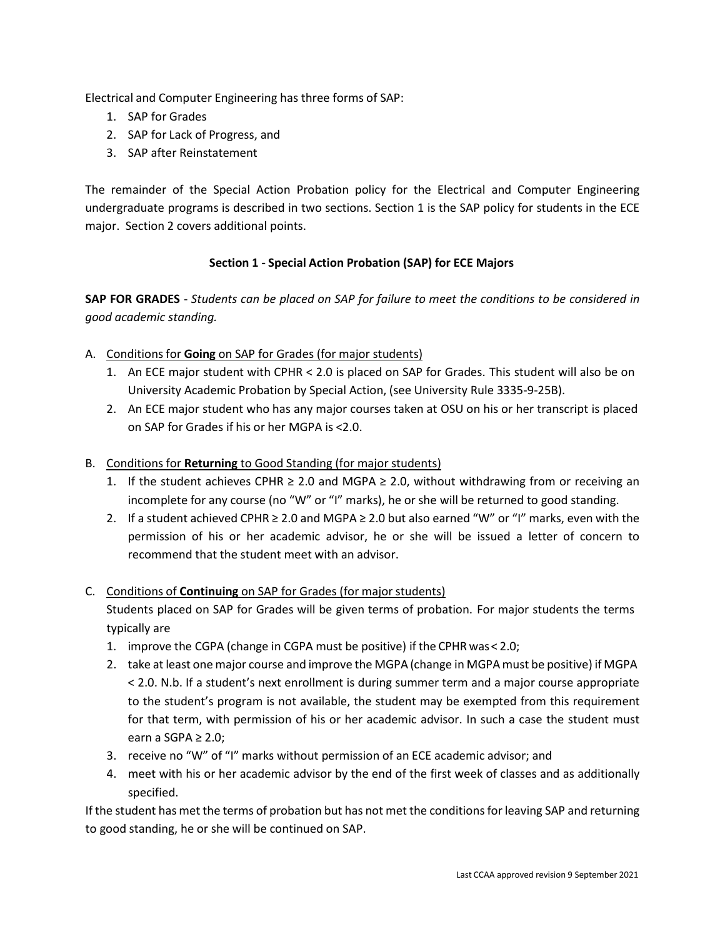Electrical and Computer Engineering has three forms of SAP:

- 1. SAP for Grades
- 2. SAP for Lack of Progress, and
- 3. SAP after Reinstatement

The remainder of the Special Action Probation policy for the Electrical and Computer Engineering undergraduate programs is described in two sections. Section 1 is the SAP policy for students in the ECE major. Section 2 covers additional points.

# **Section 1 - Special Action Probation (SAP) for ECE Majors**

**SAP FOR GRADES** - *Students can be placed on SAP for failure to meet the conditions to be considered in good academic standing.*

- A. Conditions for **Going** on SAP for Grades (for major students)
	- 1. An ECE major student with CPHR < 2.0 is placed on SAP for Grades. This student will also be on University Academic Probation by Special Action, (see University Rule 3335-9-25B).
	- 2. An ECE major student who has any major courses taken at OSU on his or her transcript is placed on SAP for Grades if his or her MGPA is <2.0.
- B. Conditions for **Returning** to Good Standing (for major students)
	- 1. If the student achieves CPHR ≥ 2.0 and MGPA ≥ 2.0, without withdrawing from or receiving an incomplete for any course (no "W" or "I" marks), he or she will be returned to good standing.
	- 2. If a student achieved CPHR ≥ 2.0 and MGPA ≥ 2.0 but also earned "W" or "I" marks, even with the permission of his or her academic advisor, he or she will be issued a letter of concern to recommend that the student meet with an advisor.

## C. Conditions of **Continuing** on SAP for Grades (for major students)

Students placed on SAP for Grades will be given terms of probation. For major students the terms typically are

- 1. improve the CGPA (change in CGPA must be positive) if the CPHR was< 2.0;
- 2. take at least one major course and improve the MGPA (change in MGPA must be positive) if MGPA < 2.0. N.b. If a student's next enrollment is during summer term and a major course appropriate to the student's program is not available, the student may be exempted from this requirement for that term, with permission of his or her academic advisor. In such a case the student must earn a SGPA  $\geq 2.0$ :
- 3. receive no "W" of "I" marks without permission of an ECE academic advisor; and
- 4. meet with his or her academic advisor by the end of the first week of classes and as additionally specified.

If the student has met the terms of probation but has not met the conditionsfor leaving SAP and returning to good standing, he or she will be continued on SAP.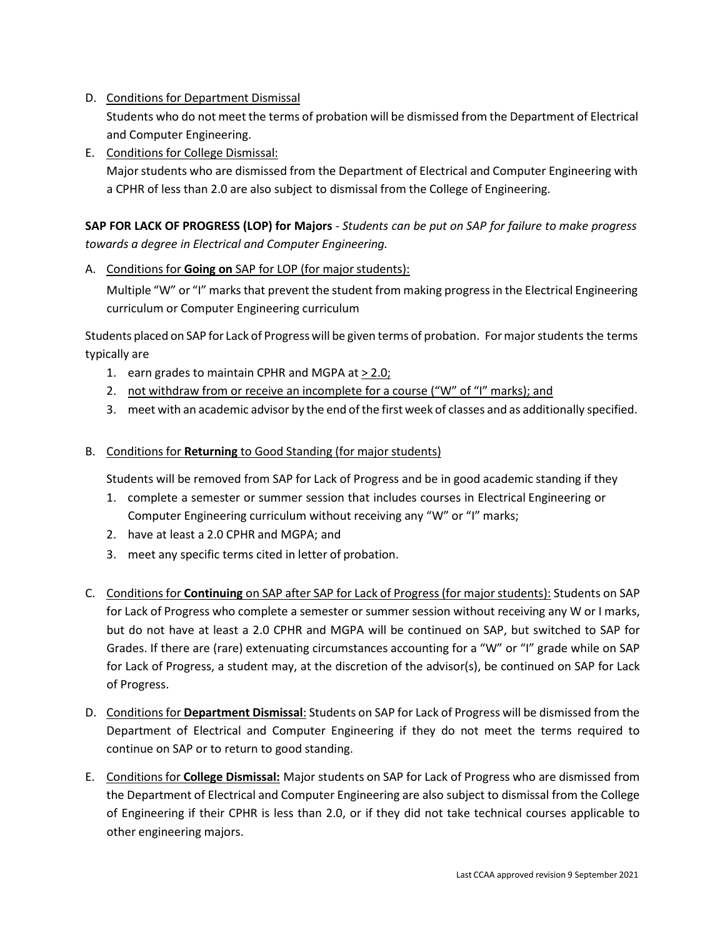- D. Conditions for Department Dismissal Students who do not meet the terms of probation will be dismissed from the Department of Electrical and Computer Engineering.
- E. Conditions for College Dismissal:

Major students who are dismissed from the Department of Electrical and Computer Engineering with a CPHR of less than 2.0 are also subject to dismissal from the College of Engineering.

**SAP FOR LACK OF PROGRESS (LOP) for Majors** - *Students can be put on SAP for failure to make progress towards a degree in Electrical and Computer Engineering.*

# A. Conditions for **Going on** SAP for LOP (for majorstudents):

Multiple "W" or "I" marks that prevent the student from making progress in the Electrical Engineering curriculum or Computer Engineering curriculum

Students placed on SAP for Lack of Progress will be given terms of probation. Formajorstudents the terms typically are

- 1. earn grades to maintain CPHR and MGPA at  $\geq 2.0$ ;
- 2. not withdraw from or receive an incomplete for a course ("W" of "I" marks); and
- 3. meet with an academic advisor by the end ofthe first week of classes and as additionally specified.
- B. Conditions for **Returning** to Good Standing (for major students)

Students will be removed from SAP for Lack of Progress and be in good academic standing if they

- 1. complete a semester or summer session that includes courses in Electrical Engineering or Computer Engineering curriculum without receiving any "W" or "I" marks;
- 2. have at least a 2.0 CPHR and MGPA; and
- 3. meet any specific terms cited in letter of probation.
- C. Conditions for **Continuing** on SAP after SAP for Lack of Progress (for majorstudents): Students on SAP for Lack of Progress who complete a semester or summer session without receiving any W or I marks, but do not have at least a 2.0 CPHR and MGPA will be continued on SAP, but switched to SAP for Grades. If there are (rare) extenuating circumstances accounting for a "W" or "I" grade while on SAP for Lack of Progress, a student may, at the discretion of the advisor(s), be continued on SAP for Lack of Progress.
- D. Conditions for **Department Dismissal**: Students on SAP for Lack of Progress will be dismissed from the Department of Electrical and Computer Engineering if they do not meet the terms required to continue on SAP or to return to good standing.
- E. Conditions for **College Dismissal:** Major students on SAP for Lack of Progress who are dismissed from the Department of Electrical and Computer Engineering are also subject to dismissal from the College of Engineering if their CPHR is less than 2.0, or if they did not take technical courses applicable to other engineering majors.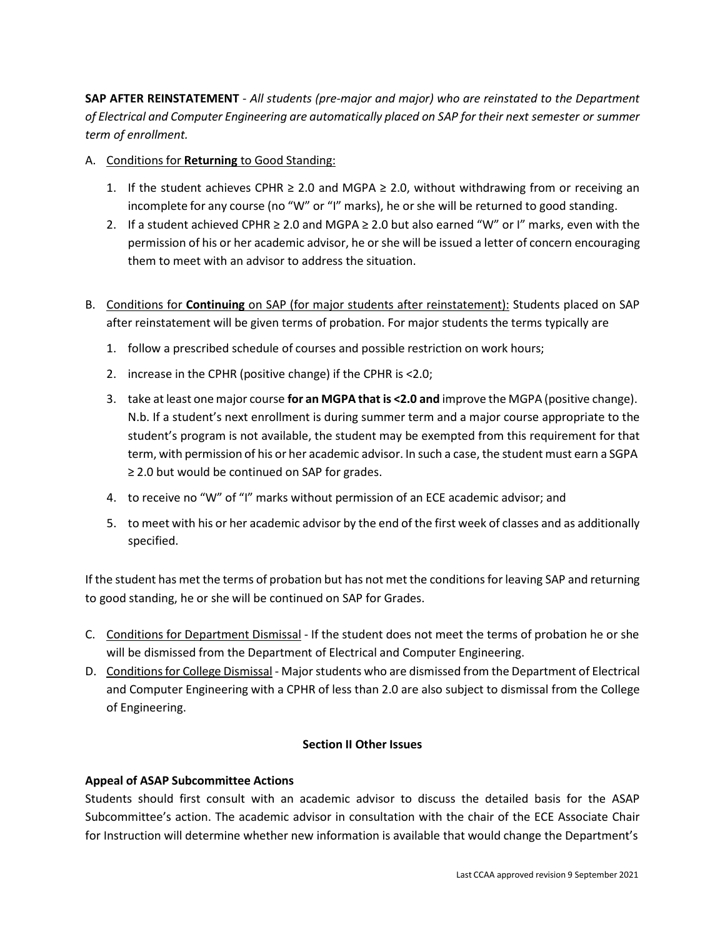**SAP AFTER REINSTATEMENT** - *All students (pre-major and major) who are reinstated to the Department of Electrical and Computer Engineering are automatically placed on SAP for their next semester or summer term of enrollment.*

- A. Conditions for **Returning** to Good Standing:
	- 1. If the student achieves CPHR ≥ 2.0 and MGPA ≥ 2.0, without withdrawing from or receiving an incomplete for any course (no "W" or "I" marks), he orshe will be returned to good standing.
	- 2. If a student achieved CPHR  $\geq 2.0$  and MGPA  $\geq 2.0$  but also earned "W" or I" marks, even with the permission of his or her academic advisor, he or she will be issued a letter of concern encouraging them to meet with an advisor to address the situation.
- B. Conditions for **Continuing** on SAP (for major students after reinstatement): Students placed on SAP after reinstatement will be given terms of probation. For major students the terms typically are
	- 1. follow a prescribed schedule of courses and possible restriction on work hours;
	- 2. increase in the CPHR (positive change) if the CPHR is <2.0;
	- 3. take at least one major course **for an MGPA that is <2.0 and** improve the MGPA (positive change). N.b. If a student's next enrollment is during summer term and a major course appropriate to the student's program is not available, the student may be exempted from this requirement for that term, with permission of his or her academic advisor. In such a case, the student must earn a SGPA ≥ 2.0 but would be continued on SAP for grades.
	- 4. to receive no "W" of "I" marks without permission of an ECE academic advisor; and
	- 5. to meet with his or her academic advisor by the end of the first week of classes and as additionally specified.

If the student has met the terms of probation but has not met the conditionsfor leaving SAP and returning to good standing, he or she will be continued on SAP for Grades.

- C. Conditions for Department Dismissal If the student does not meet the terms of probation he or she will be dismissed from the Department of Electrical and Computer Engineering.
- D. Conditions for College Dismissal Major students who are dismissed from the Department of Electrical and Computer Engineering with a CPHR of less than 2.0 are also subject to dismissal from the College of Engineering.

## **Section II Other Issues**

## **Appeal of ASAP Subcommittee Actions**

Students should first consult with an academic advisor to discuss the detailed basis for the ASAP Subcommittee's action. The academic advisor in consultation with the chair of the ECE Associate Chair for Instruction will determine whether new information is available that would change the Department's